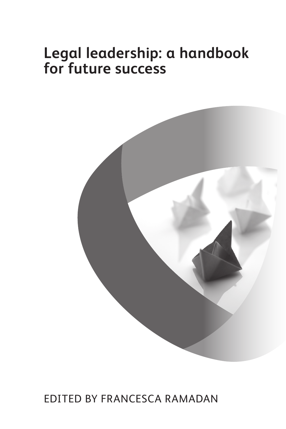# **Legal leadership: a handbook for future success**



Edited by Francesca Ramadan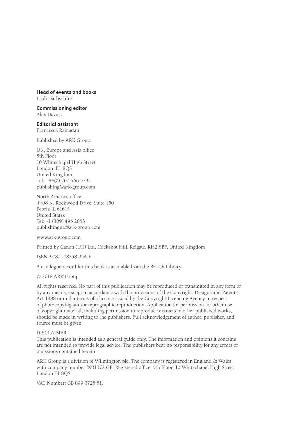#### **Head of events and books**

Leah Darbyshire

**Commissioning editor** Alex Davies

**Editorial assistant** Francesca Ramadan

Published by ARK Group:

UK, Europe and Asia office 5th Floor 10 Whitechapel High Street London, E1 8QS United Kingdom Tel: +44(0) 207 566 5792 publishing@ark-group.com

North America office 4408 N. Rockwood Drive, Suite 150 Peoria IL 61614 United States Tel: +1 (309) 495 2853 publishingna@ark-group.com

www.ark-group.com

Printed by Canon (UK) Ltd, Cockshot Hill, Reigate, RH2 8BF, United Kingdom

ISBN: 978-1-78358-354-6

A catalogue record for this book is available from the British Library

© 2018 ARK Group

All rights reserved. No part of this publication may be reproduced or transmitted in any form or by any means, except in accordance with the provisions of the Copyright, Designs and Patents Act 1988 or under terms of a licence issued by the Copyright Licencing Agency in respect of photocopying and/or reprographic reproduction. Application for permission for other use of copyright material, including permission to reproduce extracts in other published works, should be made in writing to the publishers. Full acknowledgement of author, publisher, and source must be given.

#### DISCLAIMER

This publication is intended as a general guide only. The information and opinions it contains are not intended to provide legal advice. The publishers bear no responsibility for any errors or omissions contained herein.

ARK Group is a division of Wilmington plc. The company is registered in England & Wales with company number 2931372 GB. Registered office: 5th Floor, 10 Whitechapel High Street, London E1 8QS.

VAT Number: GB 899 3725 51.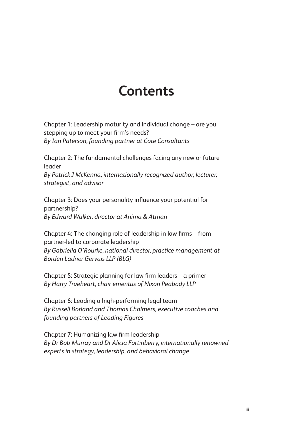## **Contents**

Chapter 1: Leadership maturity and individual change – are you stepping up to meet your firm's needs? *By Ian Paterson, founding partner at Cote Consultants*

Chapter 2: The fundamental challenges facing any new or future leader *By Patrick J McKenna, internationally recognized author, lecturer,* 

*strategist, and advisor*

Chapter 3: Does your personality influence your potential for partnership? *By Edward Walker, director at Anima & Atman*

Chapter 4: The changing role of leadership in law firms – from partner-led to corporate leadership *By Gabriella O'Rourke, national director, practice management at Borden Ladner Gervais LLP (BLG)*

Chapter 5: Strategic planning for law firm leaders – a primer *By Harry Trueheart, chair emeritus of Nixon Peabody LLP*

Chapter 6: Leading a high-performing legal team *By Russell Borland and Thomas Chalmers, executive coaches and founding partners of Leading Figures*

Chapter 7: Humanizing law firm leadership *By Dr Bob Murray and Dr Alicia Fortinberry, internationally renowned experts in strategy, leadership, and behavioral change*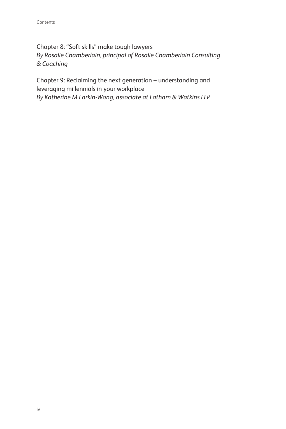Chapter 8: "Soft skills" make tough lawyers *By Rosalie Chamberlain, principal of Rosalie Chamberlain Consulting & Coaching*

Chapter 9: Reclaiming the next generation – understanding and leveraging millennials in your workplace *By Katherine M Larkin-Wong, associate at Latham & Watkins LLP*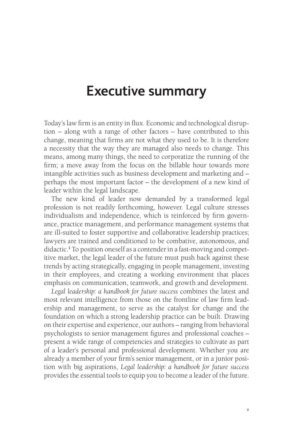### **Executive summary**

Today's law firm is an entity in flux. Economic and technological disruption – along with a range of other factors – have contributed to this change, meaning that firms are not what they used to be. It is therefore a necessity that the way they are managed also needs to change. This means, among many things, the need to corporatize the running of the firm; a move away from the focus on the billable hour towards more intangible activities such as business development and marketing and – perhaps the most important factor – the development of a new kind of leader within the legal landscape.

The new kind of leader now demanded by a transformed legal profession is not readily forthcoming, however. Legal culture stresses individualism and independence, which is reinforced by firm governance, practice management, and performance management systems that are ill-suited to foster supportive and collaborative leadership practices; lawyers are trained and conditioned to be combative, autonomous, and didactic.<sup>1</sup> To position oneself as a contender in a fast-moving and competitive market, the legal leader of the future must push back against these trends by acting strategically, engaging in people management, investing in their employees, and creating a working environment that places emphasis on communication, teamwork, and growth and development.

*Legal leadership: a handbook for future success* combines the latest and most relevant intelligence from those on the frontline of law firm leadership and management, to serve as the catalyst for change and the foundation on which a strong leadership practice can be built. Drawing on their expertise and experience, our authors – ranging from behavioral psychologists to senior management figures and professional coaches – present a wide range of competencies and strategies to cultivate as part of a leader's personal and professional development. Whether you are already a member of your firm's senior management, or in a junior position with big aspirations, *Legal leadership: a handbook for future success*  provides the essential tools to equip you to become a leader of the future.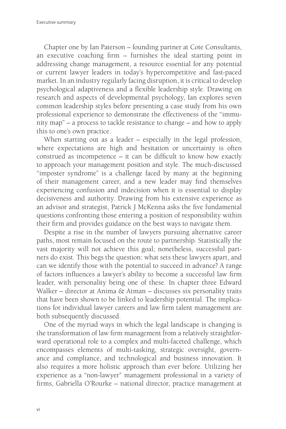Chapter one by Ian Paterson – founding partner at Cote Consultants, an executive coaching firm – furnishes the ideal starting point in addressing change management, a resource essential for any potential or current lawyer leaders in today's hypercompetitive and fast-paced market. In an industry regularly facing disruption, it is critical to develop psychological adaptiveness and a flexible leadership style. Drawing on research and aspects of developmental psychology, Ian explores seven common leadership styles before presenting a case study from his own professional experience to demonstrate the effectiveness of the "immunity map" – a process to tackle resistance to change – and how to apply this to one's own practice.

When starting out as a leader – especially in the legal profession, where expectations are high and hesitation or uncertainty is often construed as incompetence – it can be difficult to know how exactly to approach your management position and style. The much-discussed "imposter syndrome" is a challenge faced by many at the beginning of their management career, and a new leader may find themselves experiencing confusion and indecision when it is essential to display decisiveness and authority. Drawing from his extensive experience as an advisor and strategist, Patrick J McKenna asks the five fundamental questions confronting those entering a position of responsibility within their firm and provides guidance on the best ways to navigate them.

Despite a rise in the number of lawyers pursuing alternative career paths, most remain focused on the route to partnership. Statistically the vast majority will not achieve this goal; nonetheless, successful partners do exist. This begs the question: what sets these lawyers apart, and can we identify those with the potential to succeed in advance? A range of factors influences a lawyer's ability to become a successful law firm leader, with personality being one of these. In chapter three Edward Walker – director at Anima & Atman – discusses six personality traits that have been shown to be linked to leadership potential. The implications for individual lawyer careers and law firm talent management are both subsequently discussed.

One of the myriad ways in which the legal landscape is changing is the transformation of law firm management from a relatively straightforward operational role to a complex and multi-faceted challenge, which encompasses elements of multi-tasking, strategic oversight, governance and compliance, and technological and business innovation. It also requires a more holistic approach than ever before. Utilizing her experience as a "non-lawyer" management professional in a variety of firms, Gabriella O'Rourke – national director, practice management at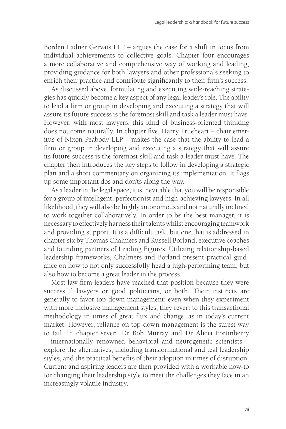Borden Ladner Gervais LLP – argues the case for a shift in focus from individual achievements to collective goals. Chapter four encourages a more collaborative and comprehensive way of working and leading, providing guidance for both lawyers and other professionals seeking to enrich their practice and contribute significantly to their firm's success.

As discussed above, formulating and executing wide-reaching strategies has quickly become a key aspect of any legal leader's role. The ability to lead a firm or group in developing and executing a strategy that will assure its future success is the foremost skill and task a leader must have. However, with most lawyers, this kind of business-oriented thinking does not come naturally. In chapter five, Harry Trueheart – chair emeritus of Nixon Peabody LLP – makes the case that the ability to lead a firm or group in developing and executing a strategy that will assure its future success is the foremost skill and task a leader must have. The chapter then introduces the key steps to follow in developing a strategic plan and a short commentary on organizing its implementation. It flags up some important dos and don'ts along the way.

As a leader in the legal space, it is inevitable that you will be responsible for a group of intelligent, perfectionist and high-achieving lawyers. In all likelihood, they will also be highly autonomous and not naturally inclined to work together collaboratively. In order to be the best manager, it is necessary to effectively harness their talents whilst encouraging teamwork and providing support. It is a difficult task, but one that is addressed in chapter six by Thomas Chalmers and Russell Borland, executive coaches and founding partners of Leading Figures. Utilizing relationship-based leadership frameworks, Chalmers and Borland present practical guidance on how to not only successfully head a high-performing team, but also how to become a great leader in the process.

Most law firm leaders have reached that position because they were successful lawyers or good politicians, or both. Their instincts are generally to favor top-down management; even when they experiment with more inclusive management styles, they revert to this transactional methodology in times of great flux and change, as in today's current market. However, reliance on top-down management is the surest way to fail. In chapter seven, Dr Bob Murray and Dr Alicia Fortinberry – internationally renowned behavioral and neurogenetic scientists – explore the alternatives, including transformational and teal leadership styles, and the practical benefits of their adoption in times of disruption. Current and aspiring leaders are then provided with a workable how-to for changing their leadership style to meet the challenges they face in an increasingly volatile industry.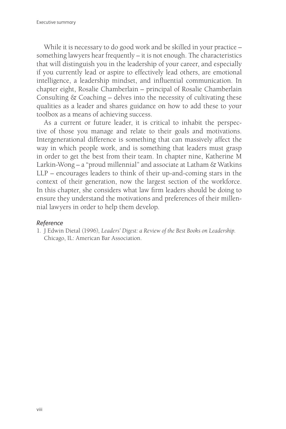While it is necessary to do good work and be skilled in your practice – something lawyers hear frequently – it is not enough. The characteristics that will distinguish you in the leadership of your career, and especially if you currently lead or aspire to effectively lead others, are emotional intelligence, a leadership mindset, and influential communication. In chapter eight, Rosalie Chamberlain – principal of Rosalie Chamberlain Consulting & Coaching – delves into the necessity of cultivating these qualities as a leader and shares guidance on how to add these to your toolbox as a means of achieving success.

As a current or future leader, it is critical to inhabit the perspective of those you manage and relate to their goals and motivations. Intergenerational difference is something that can massively affect the way in which people work, and is something that leaders must grasp in order to get the best from their team. In chapter nine, Katherine M Larkin-Wong – a "proud millennial" and associate at Latham & Watkins LLP – encourages leaders to think of their up-and-coming stars in the context of their generation, now the largest section of the workforce. In this chapter, she considers what law firm leaders should be doing to ensure they understand the motivations and preferences of their millennial lawyers in order to help them develop.

#### *Reference*

1. J Edwin Dietal (1996), *Leaders' Digest: a Review of the Best Books on Leadership*. Chicago, IL: American Bar Association.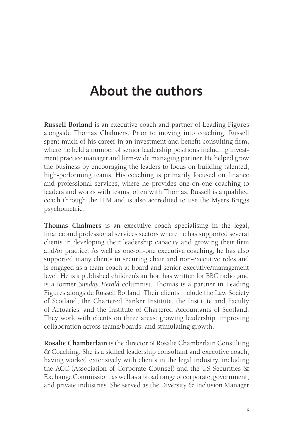### **About the authors**

**Russell Borland** is an executive coach and partner of Leading Figures alongside Thomas Chalmers. Prior to moving into coaching, Russell spent much of his career in an investment and benefit consulting firm, where he held a number of senior leadership positions including investment practice manager and firm-wide managing partner. He helped grow the business by encouraging the leaders to focus on building talented, high-performing teams. His coaching is primarily focused on finance and professional services, where he provides one-on-one coaching to leaders and works with teams, often with Thomas. Russell is a qualified coach through the ILM and is also accredited to use the Myers Briggs psychometric.

**Thomas Chalmers** is an executive coach specialising in the legal, finance and professional services sectors where he has supported several clients in developing their leadership capacity and growing their firm and/or practice. As well as one-on-one executive coaching, he has also supported many clients in securing chair and non-executive roles and is engaged as a team coach at board and senior executive/management level. He is a published children's author, has written for BBC radio ,and is a former *Sunday Herald* columnist. Thomas is a partner in Leading Figures alongside Russell Borland. Their clients include the Law Society of Scotland, the Chartered Banker Institute, the Institute and Faculty of Actuaries, and the Institute of Chartered Accountants of Scotland. They work with clients on three areas: growing leadership, improving collaboration across teams/boards, and stimulating growth.

**Rosalie Chamberlain** is the director of Rosalie Chamberlain Consulting & Coaching. She is a skilled leadership consultant and executive coach, having worked extensively with clients in the legal industry, including the ACC (Association of Corporate Counsel) and the US Securities & Exchange Commission, as well as a broad range of corporate, government, and private industries. She served as the Diversity & Inclusion Manager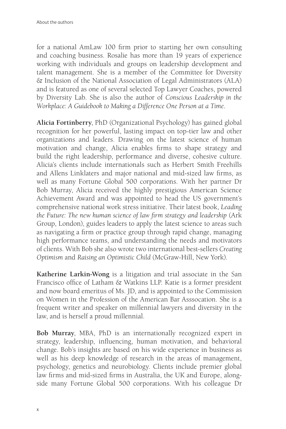for a national AmLaw 100 firm prior to starting her own consulting and coaching business. Rosalie has more than 19 years of experience working with individuals and groups on leadership development and talent management. She is a member of the Committee for Diversity & Inclusion of the National Association of Legal Administrators (ALA) and is featured as one of several selected Top Lawyer Coaches, powered by Diversity Lab. She is also the author of *Conscious Leadership in the Workplace: A Guidebook to Making a Difference One Person at a Time*.

**Alicia Fortinberry**, PhD (Organizational Psychology) has gained global recognition for her powerful, lasting impact on top-tier law and other organizations and leaders. Drawing on the latest science of human motivation and change, Alicia enables firms to shape strategy and build the right leadership, performance and diverse, cohesive culture. Alicia's clients include internationals such as Herbert Smith Freehills and Allens Linklaters and major national and mid-sized law firms, as well as many Fortune Global 500 corporations. With her partner Dr Bob Murray, Alicia received the highly prestigious American Science Achievement Award and was appointed to head the US government's comprehensive national work stress initiative. Their latest book, *Leading the Future: The new human science of law firm strategy and leadership* (Ark Group, London), guides leaders to apply the latest science to areas such as navigating a firm or practice group through rapid change, managing high performance teams, and understanding the needs and motivators of clients. With Bob she also wrote two international best-sellers *Creating Optimism* and *Raising an Optimistic Child* (McGraw-Hill, New York).

**Katherine Larkin-Wong** is a litigation and trial associate in the San Francisco office of Latham & Watkins LLP. Katie is a former president and now board emeritus of Ms. JD, and is appointed to the Commission on Women in the Profession of the American Bar Asssocation. She is a frequent writer and speaker on millennial lawyers and diversity in the law, and is herself a proud millennial.

**Bob Murray**, MBA, PhD is an internationally recognized expert in strategy, leadership, influencing, human motivation, and behavioral change. Bob's insights are based on his wide experience in business as well as his deep knowledge of research in the areas of management, psychology, genetics and neurobiology. Clients include premier global law firms and mid-sized firms in Australia, the UK and Europe, alongside many Fortune Global 500 corporations. With his colleague Dr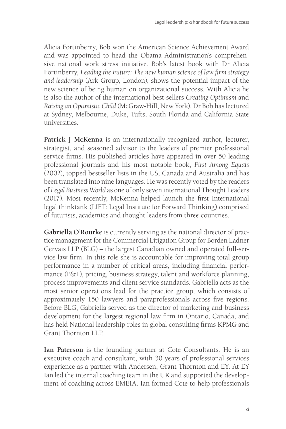Alicia Fortinberry, Bob won the American Science Achievement Award and was appointed to head the Obama Administration's comprehensive national work stress initiative. Bob's latest book with Dr Alicia Fortinberry, *Leading the Future: The new human science of law firm strategy and leadership* (Ark Group, London), shows the potential impact of the new science of being human on organizational success. With Alicia he is also the author of the international best-sellers *Creating Optimism* and *Raising an Optimistic Child* (McGraw-Hill, New York). Dr Bob has lectured at Sydney, Melbourne, Duke, Tufts, South Florida and California State universities.

Patrick J McKenna is an internationally recognized author, lecturer, strategist, and seasoned advisor to the leaders of premier professional service firms. His published articles have appeared in over 50 leading professional journals and his most notable book, *First Among Equals* (2002), topped bestseller lists in the US, Canada and Australia and has been translated into nine languages. He was recently voted by the readers of *Legal Business World* as one of only seven international Thought Leaders (2017). Most recently, McKenna helped launch the first International legal thinktank (LIFT: Legal Institute for Forward Thinking) comprised of futurists, academics and thought leaders from three countries.

**Gabriella O'Rourke** is currently serving as the national director of practice management for the Commercial Litigation Group for Borden Ladner Gervais LLP (BLG) – the largest Canadian owned and operated full-service law firm. In this role she is accountable for improving total group performance in a number of critical areas, including financial performance (P&L), pricing, business strategy, talent and workforce planning, process improvements and client service standards. Gabriella acts as the most senior operations lead for the practice group, which consists of approximately 150 lawyers and paraprofessionals across five regions. Before BLG, Gabriella served as the director of marketing and business development for the largest regional law firm in Ontario, Canada, and has held National leadership roles in global consulting firms KPMG and Grant Thornton LLP.

**Ian Paterson** is the founding partner at Cote Consultants. He is an executive coach and consultant, with 30 years of professional services experience as a partner with Andersen, Grant Thornton and EY. At EY Ian led the internal coaching team in the UK and supported the development of coaching across EMEIA. Ian formed Cote to help professionals